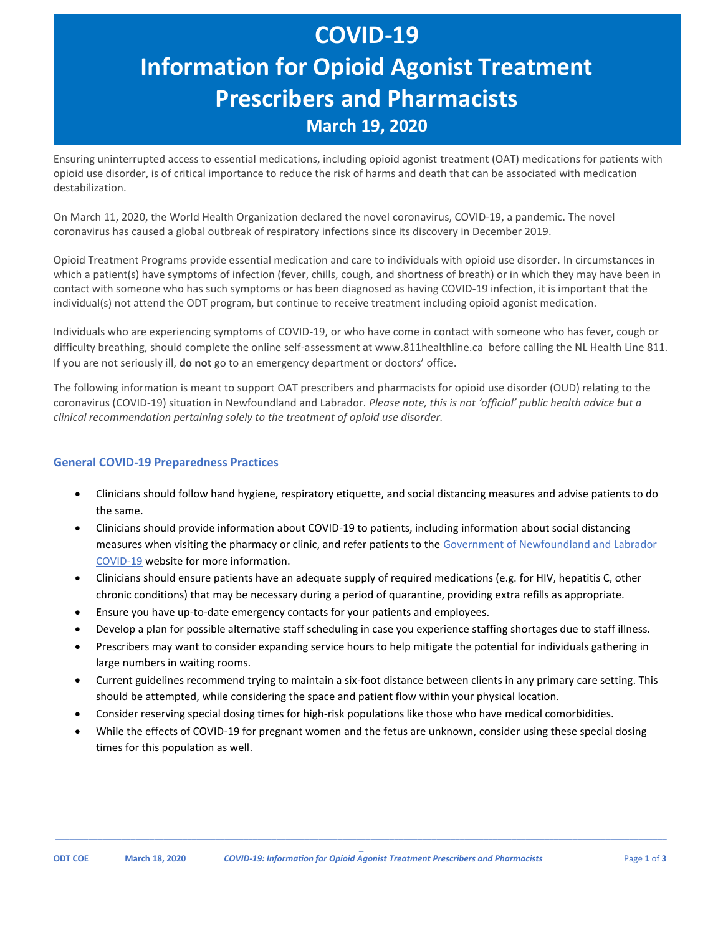# **COVID-19 Information for Opioid Agonist Treatment Prescribers and Pharmacists March 19, 2020**

Ensuring uninterrupted access to essential medications, including opioid agonist treatment (OAT) medications for patients with opioid use disorder, is of critical importance to reduce the risk of harms and death that can be associated with medication destabilization.

On March 11, 2020, the World Health Organization declared the novel coronavirus, COVID-19, a pandemic. The novel coronavirus has caused a global outbreak of respiratory infections since its discovery in December 2019.

Opioid Treatment Programs provide essential medication and care to individuals with opioid use disorder. In circumstances in which a patient(s) have symptoms of infection (fever, chills, cough, and shortness of breath) or in which they may have been in contact with someone who has such symptoms or has been diagnosed as having COVID-19 infection, it is important that the individual(s) not attend the ODT program, but continue to receive treatment including opioid agonist medication.

Individuals who are experiencing symptoms of COVID-19, or who have come in contact with someone who has fever, cough or difficulty breathing, should complete the online self-assessment at [www.811healthline.ca](http://www.811healthline.ca/) before calling the NL Health Line 811. If you are not seriously ill, **do not** go to an emergency department or doctors' office.

The following information is meant to support OAT prescribers and pharmacists for opioid use disorder (OUD) relating to the coronavirus (COVID-19) situation in Newfoundland and Labrador. *Please note, this is not 'official' public health advice but a clinical recommendation pertaining solely to the treatment of opioid use disorder.*

#### **General COVID-19 Preparedness Practices**

- Clinicians should follow hand hygiene, respiratory etiquette, and social distancing measures and advise patients to do the same.
- Clinicians should provide information about COVID-19 to patients, including information about social distancing measures when visiting the pharmacy or clinic, and refer patients to the [Government of Newfoundland and Labrador](https://www.gov.nl.ca/covid-19/) [COVID-19](https://www.gov.nl.ca/covid-19/) website for more information.
- Clinicians should ensure patients have an adequate supply of required medications (e.g. for HIV, hepatitis C, other chronic conditions) that may be necessary during a period of quarantine, providing extra refills as appropriate.
- Ensure you have up-to-date emergency contacts for your patients and employees.
- Develop a plan for possible alternative staff scheduling in case you experience staffing shortages due to staff illness.
- Prescribers may want to consider expanding service hours to help mitigate the potential for individuals gathering in large numbers in waiting rooms.
- Current guidelines recommend trying to maintain a six-foot distance between clients in any primary care setting. This should be attempted, while considering the space and patient flow within your physical location.
- Consider reserving special dosing times for high-risk populations like those who have medical comorbidities.
- While the effects of COVID-19 for pregnant women and the fetus are unknown, consider using these special dosing times for this population as well.

**\_\_\_\_\_\_\_\_\_\_\_\_\_\_\_\_\_\_\_\_\_\_\_\_\_\_\_\_\_\_\_\_\_\_\_\_\_\_\_\_\_\_\_\_\_\_\_\_\_\_\_\_\_\_\_\_\_\_\_\_\_\_\_\_\_\_\_\_\_\_\_\_\_\_\_\_\_\_\_\_\_\_\_\_\_\_\_\_\_\_\_\_\_\_\_\_\_\_\_\_\_\_\_\_\_\_\_\_\_\_\_\_\_\_\_\_\_\_\_\_\_\_\_\_\_\_\_\_\_\_**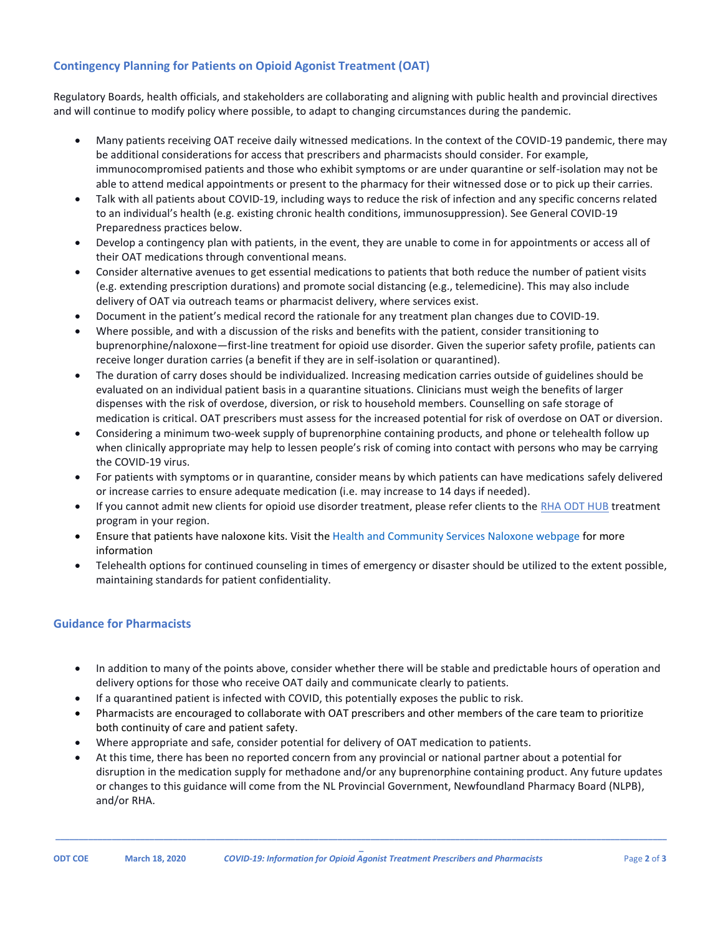## **Contingency Planning for Patients on Opioid Agonist Treatment (OAT)**

Regulatory Boards, health officials, and stakeholders are collaborating and aligning with public health and provincial directives and will continue to modify policy where possible, to adapt to changing circumstances during the pandemic.

- Many patients receiving OAT receive daily witnessed medications. In the context of the COVID-19 pandemic, there may be additional considerations for access that prescribers and pharmacists should consider. For example, immunocompromised patients and those who exhibit symptoms or are under quarantine or self-isolation may not be able to attend medical appointments or present to the pharmacy for their witnessed dose or to pick up their carries.
- Talk with all patients about COVID-19, including ways to reduce the risk of infection and any specific concerns related to an individual's health (e.g. existing chronic health conditions, immunosuppression). See General COVID-19 Preparedness practices below.
- Develop a contingency plan with patients, in the event, they are unable to come in for appointments or access all of their OAT medications through conventional means.
- Consider alternative avenues to get essential medications to patients that both reduce the number of patient visits (e.g. extending prescription durations) and promote social distancing (e.g., telemedicine). This may also include delivery of OAT via outreach teams or pharmacist delivery, where services exist.
- Document in the patient's medical record the rationale for any treatment plan changes due to COVID-19.
- Where possible, and with a discussion of the risks and benefits with the patient, consider transitioning to buprenorphine/naloxone—first-line treatment for opioid use disorder. Given the superior safety profile, patients can receive longer duration carries (a benefit if they are in self-isolation or quarantined).
- The duration of carry doses should be individualized. Increasing medication carries outside of guidelines should be evaluated on an individual patient basis in a quarantine situations. Clinicians must weigh the benefits of larger dispenses with the risk of overdose, diversion, or risk to household members. Counselling on safe storage of medication is critical. OAT prescribers must assess for the increased potential for risk of overdose on OAT or diversion.
- Considering a minimum two-week supply of buprenorphine containing products, and phone or telehealth follow up when clinically appropriate may help to lessen people's risk of coming into contact with persons who may be carrying the COVID-19 virus.
- For patients with symptoms or in quarantine, consider means by which patients can have medications safely delivered or increase carries to ensure adequate medication (i.e. may increase to 14 days if needed).
- If you cannot admit new clients for opioid use disorder treatment, please refer clients to the [RHA ODT HUB](http://www.easternhealth.ca/WebInWeb.aspx?d=2&id=2458&p=2106) treatment program in your region.
- Ensure that patients have naloxone kits. Visit the [Health and Community Services](https://www.health.gov.nl.ca/health/naloxonekits/) Naloxone webpage for more information
- Telehealth options for continued counseling in times of emergency or disaster should be utilized to the extent possible, maintaining standards for patient confidentiality.

## **Guidance for Pharmacists**

- In addition to many of the points above, consider whether there will be stable and predictable hours of operation and delivery options for those who receive OAT daily and communicate clearly to patients.
- If a quarantined patient is infected with COVID, this potentially exposes the public to risk.
- Pharmacists are encouraged to collaborate with OAT prescribers and other members of the care team to prioritize both continuity of care and patient safety.
- Where appropriate and safe, consider potential for delivery of OAT medication to patients.
- At this time, there has been no reported concern from any provincial or national partner about a potential for disruption in the medication supply for methadone and/or any buprenorphine containing product. Any future updates or changes to this guidance will come from the NL Provincial Government, Newfoundland Pharmacy Board (NLPB), and/or RHA.

**\_\_\_\_\_\_\_\_\_\_\_\_\_\_\_\_\_\_\_\_\_\_\_\_\_\_\_\_\_\_\_\_\_\_\_\_\_\_\_\_\_\_\_\_\_\_\_\_\_\_\_\_\_\_\_\_\_\_\_\_\_\_\_\_\_\_\_\_\_\_\_\_\_\_\_\_\_\_\_\_\_\_\_\_\_\_\_\_\_\_\_\_\_\_\_\_\_\_\_\_\_\_\_\_\_\_\_\_\_\_\_\_\_\_\_\_\_\_\_\_\_\_\_\_\_\_\_\_\_\_**